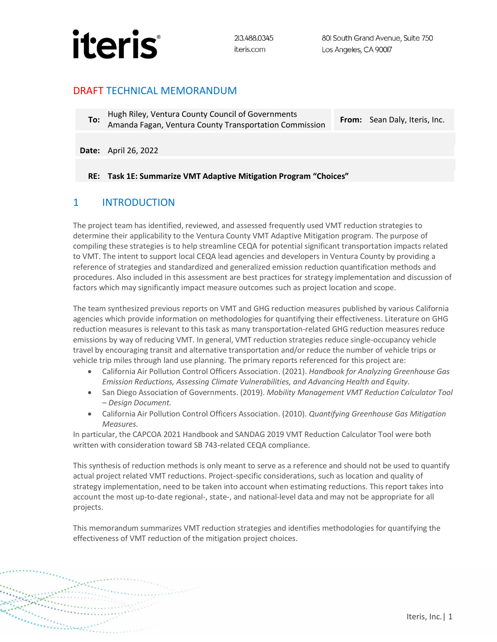

### DRAFT TECHNICAL MEMORANDUM

**To:** Hugh Riley, Ventura County Council of Governments Amanda Fagan, Ventura County Transportation Commission **From:** Sean Daly, Iteris, Inc.

**Date:** April 26, 2022

#### **RE: Task 1E: Summarize VMT Adaptive Mitigation Program "Choices"**

### 1 INTRODUCTION

<u>Magazin</u>

The project team has identified, reviewed, and assessed frequently used VMT reduction strategies to determine their applicability to the Ventura County VMT Adaptive Mitigation program. The purpose of compiling these strategies is to help streamline CEQA for potential significant transportation impacts related to VMT. The intent to support local CEQA lead agencies and developers in Ventura County by providing a reference of strategies and standardized and generalized emission reduction quantification methods and procedures. Also included in this assessment are best practices for strategy implementation and discussion of factors which may significantly impact measure outcomes such as project location and scope.

The team synthesized previous reports on VMT and GHG reduction measures published by various California agencies which provide information on methodologies for quantifying their effectiveness. Literature on GHG reduction measures is relevant to this task as many transportation-related GHG reduction measures reduce emissions by way of reducing VMT. In general, VMT reduction strategies reduce single-occupancy vehicle travel by encouraging transit and alternative transportation and/or reduce the number of vehicle trips or vehicle trip miles through land use planning. The primary reports referenced for this project are:

- California Air Pollution Control Officers Association. (2021). *Handbook for Analyzing Greenhouse Gas Emission Reductions, Assessing Climate Vulnerabilities, and Advancing Health and Equity.*
- San Diego Association of Governments. (2019). *Mobility Management VMT Reduction Calculator Tool – Design Document.*
- California Air Pollution Control Officers Association. (2010). *Quantifying Greenhouse Gas Mitigation Measures.*

In particular, the CAPCOA 2021 Handbook and SANDAG 2019 VMT Reduction Calculator Tool were both written with consideration toward SB 743-related CEQA compliance.

This synthesis of reduction methods is only meant to serve as a reference and should not be used to quantify actual project related VMT reductions. Project-specific considerations, such as location and quality of strategy implementation, need to be taken into account when estimating reductions. This report takes into account the most up-to-date regional-, state-, and national-level data and may not be appropriate for all projects.

This memorandum summarizes VMT reduction strategies and identifies methodologies for quantifying the effectiveness of VMT reduction of the mitigation project choices.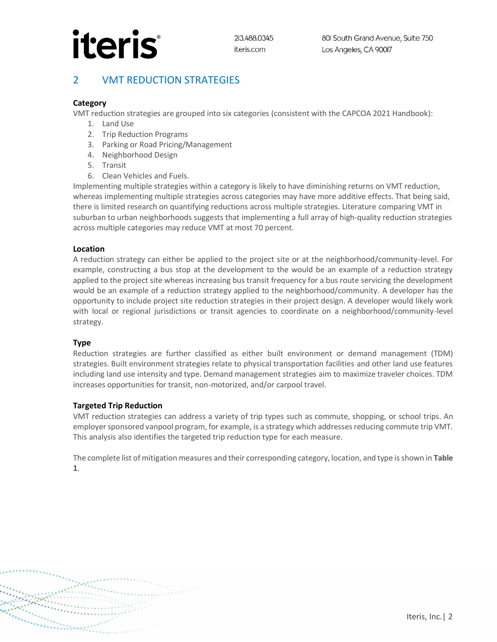# **iteris**

## 2 VMT REDUCTION STRATEGIES

### **Category**

VMT reduction strategies are grouped into six categories (consistent with the CAPCOA 2021 Handbook):

- 1. Land Use
- 2. Trip Reduction Programs
- 3. Parking or Road Pricing/Management
- 4. Neighborhood Design
- 5. Transit
- 6. Clean Vehicles and Fuels.

Implementing multiple strategies within a category is likely to have diminishing returns on VMT reduction, whereas implementing multiple strategies across categories may have more additive effects. That being said, there is limited research on quantifying reductions across multiple strategies. Literature comparing VMT in suburban to urban neighborhoods suggests that implementing a full array of high-quality reduction strategies across multiple categories may reduce VMT at most 70 percent.

#### **Location**

A reduction strategy can either be applied to the project site or at the neighborhood/community-level. For example, constructing a bus stop at the development to the would be an example of a reduction strategy applied to the project site whereas increasing bus transit frequency for a bus route servicing the development would be an example of a reduction strategy applied to the neighborhood/community. A developer has the opportunity to include project site reduction strategies in their project design. A developer would likely work with local or regional jurisdictions or transit agencies to coordinate on a neighborhood/community-level strategy.

#### **Type**

Reduction strategies are further classified as either built environment or demand management (TDM) strategies. Built environment strategies relate to physical transportation facilities and other land use features including land use intensity and type. Demand management strategies aim to maximize traveler choices. TDM increases opportunities for transit, non-motorized, and/or carpool travel.

#### **Targeted Trip Reduction**

VMT reduction strategies can address a variety of trip types such as commute, shopping, or school trips. An employer sponsored vanpool program, for example, is a strategy which addresses reducing commute trip VMT. This analysis also identifies the targeted trip reduction type for each measure.

The complete list of mitigation measures and their corresponding category, location, and type is shown in **Table 1**.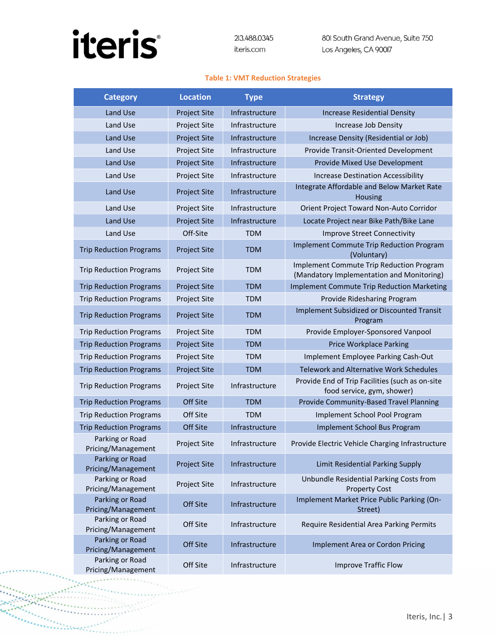# **iteris**

 $\cdots$ 

 $\frac{1}{2}$ 

and a straight

they,

it the company of the

801 South Grand Avenue, Suite 750 Los Angeles, CA 90017

#### **Table 1: VMT Reduction Strategies**

| <b>Category</b>                       | <b>Location</b>     | <b>Type</b>    | <b>Strategy</b>                                                                       |
|---------------------------------------|---------------------|----------------|---------------------------------------------------------------------------------------|
| Land Use                              | <b>Project Site</b> | Infrastructure | <b>Increase Residential Density</b>                                                   |
| Land Use                              | <b>Project Site</b> | Infrastructure | Increase Job Density                                                                  |
| Land Use                              | <b>Project Site</b> | Infrastructure | Increase Density (Residential or Job)                                                 |
| Land Use                              | <b>Project Site</b> | Infrastructure | Provide Transit-Oriented Development                                                  |
| Land Use                              | <b>Project Site</b> | Infrastructure | Provide Mixed Use Development                                                         |
| Land Use                              | <b>Project Site</b> | Infrastructure | <b>Increase Destination Accessibility</b>                                             |
| Land Use                              | <b>Project Site</b> | Infrastructure | Integrate Affordable and Below Market Rate<br>Housing                                 |
| Land Use                              | <b>Project Site</b> | Infrastructure | Orient Project Toward Non-Auto Corridor                                               |
| <b>Land Use</b>                       | <b>Project Site</b> | Infrastructure | Locate Project near Bike Path/Bike Lane                                               |
| Land Use                              | Off-Site            | <b>TDM</b>     | <b>Improve Street Connectivity</b>                                                    |
| <b>Trip Reduction Programs</b>        | <b>Project Site</b> | <b>TDM</b>     | Implement Commute Trip Reduction Program<br>(Voluntary)                               |
| <b>Trip Reduction Programs</b>        | <b>Project Site</b> | <b>TDM</b>     | Implement Commute Trip Reduction Program<br>(Mandatory Implementation and Monitoring) |
| <b>Trip Reduction Programs</b>        | <b>Project Site</b> | <b>TDM</b>     | <b>Implement Commute Trip Reduction Marketing</b>                                     |
| <b>Trip Reduction Programs</b>        | <b>Project Site</b> | <b>TDM</b>     | Provide Ridesharing Program                                                           |
| <b>Trip Reduction Programs</b>        | <b>Project Site</b> | <b>TDM</b>     | <b>Implement Subsidized or Discounted Transit</b><br>Program                          |
| <b>Trip Reduction Programs</b>        | <b>Project Site</b> | <b>TDM</b>     | Provide Employer-Sponsored Vanpool                                                    |
| <b>Trip Reduction Programs</b>        | <b>Project Site</b> | <b>TDM</b>     | <b>Price Workplace Parking</b>                                                        |
| <b>Trip Reduction Programs</b>        | <b>Project Site</b> | <b>TDM</b>     | Implement Employee Parking Cash-Out                                                   |
| <b>Trip Reduction Programs</b>        | <b>Project Site</b> | <b>TDM</b>     | <b>Telework and Alternative Work Schedules</b>                                        |
| <b>Trip Reduction Programs</b>        | <b>Project Site</b> | Infrastructure | Provide End of Trip Facilities (such as on-site<br>food service, gym, shower)         |
| <b>Trip Reduction Programs</b>        | Off Site            | <b>TDM</b>     | Provide Community-Based Travel Planning                                               |
| <b>Trip Reduction Programs</b>        | Off Site            | <b>TDM</b>     | Implement School Pool Program                                                         |
| <b>Trip Reduction Programs</b>        | Off Site            | Infrastructure | <b>Implement School Bus Program</b>                                                   |
| Parking or Road<br>Pricing/Management | Project Site        | Infrastructure | Provide Electric Vehicle Charging Infrastructure                                      |
| Parking or Road<br>Pricing/Management | <b>Project Site</b> | Infrastructure | Limit Residential Parking Supply                                                      |
| Parking or Road<br>Pricing/Management | Project Site        | Infrastructure | Unbundle Residential Parking Costs from<br><b>Property Cost</b>                       |
| Parking or Road<br>Pricing/Management | Off Site            | Infrastructure | Implement Market Price Public Parking (On-<br>Street)                                 |
| Parking or Road<br>Pricing/Management | Off Site            | Infrastructure | Require Residential Area Parking Permits                                              |
| Parking or Road<br>Pricing/Management | Off Site            | Infrastructure | Implement Area or Cordon Pricing                                                      |
| Parking or Road<br>Pricing/Management | Off Site            | Infrastructure | <b>Improve Traffic Flow</b>                                                           |